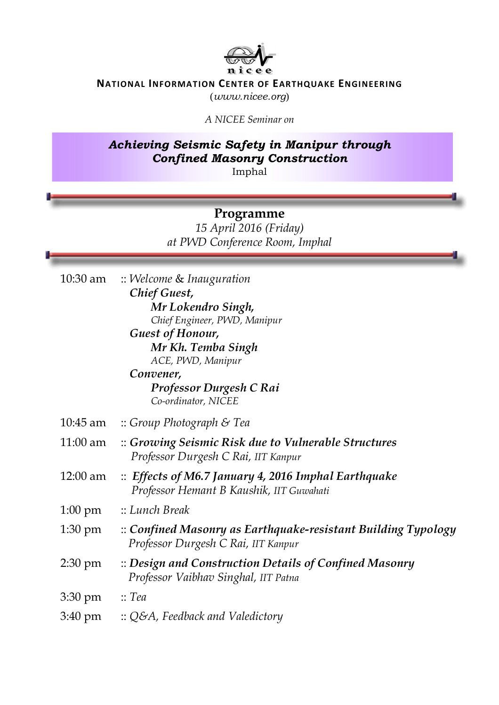

## **NATIONAL INFORMATION CENTER OF EARTHQUAKE ENGINEERING**

(*www.nicee.org*)

*A NICEE Seminar on* 

## *Achieving Seismic Safety in Manipur through Confined Masonry Construction*  Imphal

## **Programme**

*15 April 2016 (Friday) at PWD Conference Room, Imphal* 

|                   | 10:30 am :: Welcome & Inauguration                                                                         |
|-------------------|------------------------------------------------------------------------------------------------------------|
|                   | Chief Guest,                                                                                               |
|                   | Mr Lokendro Singh,                                                                                         |
|                   | Chief Engineer, PWD, Manipur                                                                               |
|                   | <b>Guest of Honour,</b>                                                                                    |
|                   | Mr Kh. Temba Singh                                                                                         |
|                   | ACE, PWD, Manipur<br>Convener,                                                                             |
|                   | Professor Durgesh C Rai<br>Co-ordinator, NICEE                                                             |
|                   | 10:45 am :: Group Photograph & Tea                                                                         |
| $11:00$ am        | :: Growing Seismic Risk due to Vulnerable Structures<br>Professor Durgesh C Rai, IIT Kanpur                |
| 12:00 am          | $\therefore$ Effects of M6.7 January 4, 2016 Imphal Earthquake<br>Professor Hemant B Kaushik, IIT Guwahati |
| $1:00 \text{ pm}$ | :: Lunch Break:                                                                                            |
| $1:30 \text{ pm}$ | :: Confined Masonry as Earthquake-resistant Building Typology<br>Professor Durgesh C Rai, IIT Kanpur       |
| $2:30 \text{ pm}$ | :: Design and Construction Details of Confined Masonry<br>Professor Vaibhav Singhal, IIT Patna             |
| 3:30 pm           | $\therefore$ Tea                                                                                           |
| $3:40 \text{ pm}$ | $\therefore$ Q&A, Feedback and Valedictory                                                                 |